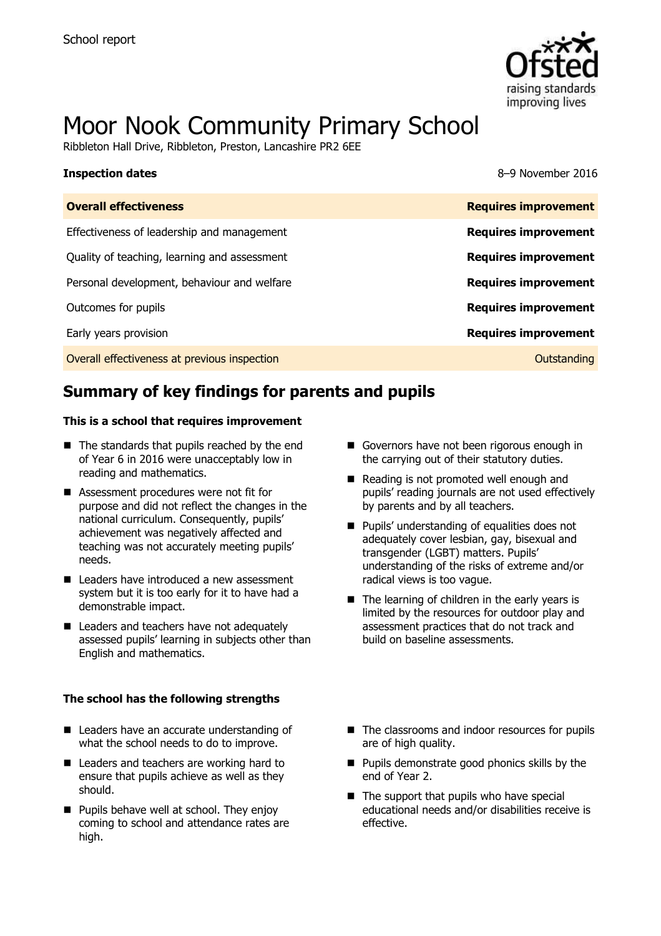

# Moor Nook Community Primary School

Ribbleton Hall Drive, Ribbleton, Preston, Lancashire PR2 6EE

| <b>Inspection dates</b>                      | 8-9 November 2016           |
|----------------------------------------------|-----------------------------|
| <b>Overall effectiveness</b>                 | <b>Requires improvement</b> |
| Effectiveness of leadership and management   | <b>Requires improvement</b> |
| Quality of teaching, learning and assessment | <b>Requires improvement</b> |
| Personal development, behaviour and welfare  | <b>Requires improvement</b> |
| Outcomes for pupils                          | <b>Requires improvement</b> |
| Early years provision                        | <b>Requires improvement</b> |
| Overall effectiveness at previous inspection | Outstanding                 |

# **Summary of key findings for parents and pupils**

#### **This is a school that requires improvement**

- $\blacksquare$  The standards that pupils reached by the end of Year 6 in 2016 were unacceptably low in reading and mathematics.
- Assessment procedures were not fit for purpose and did not reflect the changes in the national curriculum. Consequently, pupils' achievement was negatively affected and teaching was not accurately meeting pupils' needs.
- Leaders have introduced a new assessment system but it is too early for it to have had a demonstrable impact.
- Leaders and teachers have not adequately assessed pupils' learning in subjects other than English and mathematics.

#### **The school has the following strengths**

- Leaders have an accurate understanding of what the school needs to do to improve.
- Leaders and teachers are working hard to ensure that pupils achieve as well as they should.
- **Pupils behave well at school. They enjoy** coming to school and attendance rates are high.
- Governors have not been rigorous enough in the carrying out of their statutory duties.
- Reading is not promoted well enough and pupils' reading journals are not used effectively by parents and by all teachers.
- **Pupils' understanding of equalities does not** adequately cover lesbian, gay, bisexual and transgender (LGBT) matters. Pupils' understanding of the risks of extreme and/or radical views is too vague.
- $\blacksquare$  The learning of children in the early years is limited by the resources for outdoor play and assessment practices that do not track and build on baseline assessments.
- The classrooms and indoor resources for pupils are of high quality.
- $\blacksquare$  Pupils demonstrate good phonics skills by the end of Year 2.
- $\blacksquare$  The support that pupils who have special educational needs and/or disabilities receive is effective.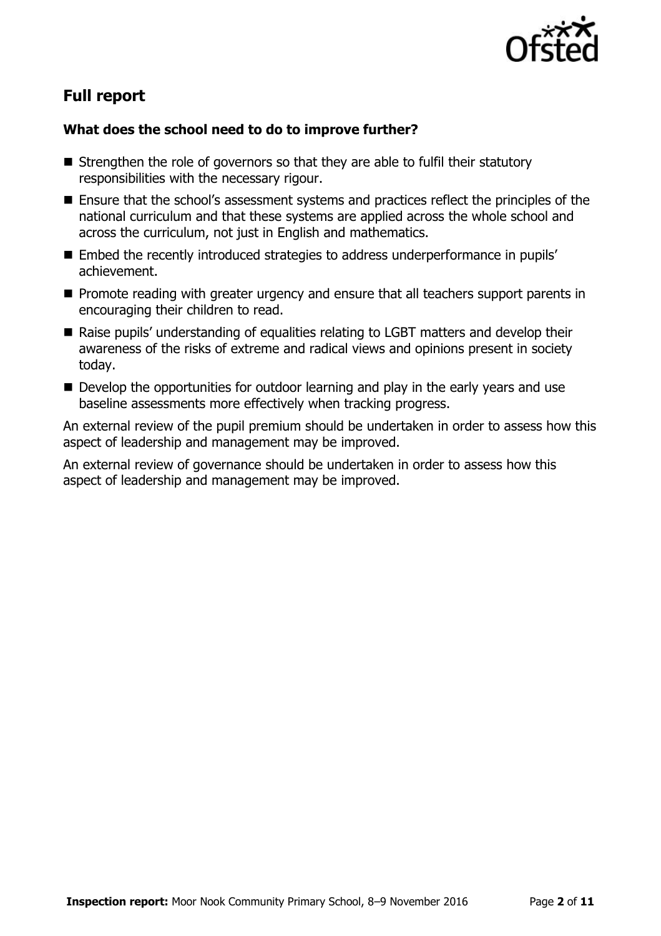

# **Full report**

### **What does the school need to do to improve further?**

- $\blacksquare$  Strengthen the role of governors so that they are able to fulfil their statutory responsibilities with the necessary rigour.
- Ensure that the school's assessment systems and practices reflect the principles of the national curriculum and that these systems are applied across the whole school and across the curriculum, not just in English and mathematics.
- Embed the recently introduced strategies to address underperformance in pupils' achievement.
- **Promote reading with greater urgency and ensure that all teachers support parents in** encouraging their children to read.
- Raise pupils' understanding of equalities relating to LGBT matters and develop their awareness of the risks of extreme and radical views and opinions present in society today.
- Develop the opportunities for outdoor learning and play in the early years and use baseline assessments more effectively when tracking progress.

An external review of the pupil premium should be undertaken in order to assess how this aspect of leadership and management may be improved.

An external review of governance should be undertaken in order to assess how this aspect of leadership and management may be improved.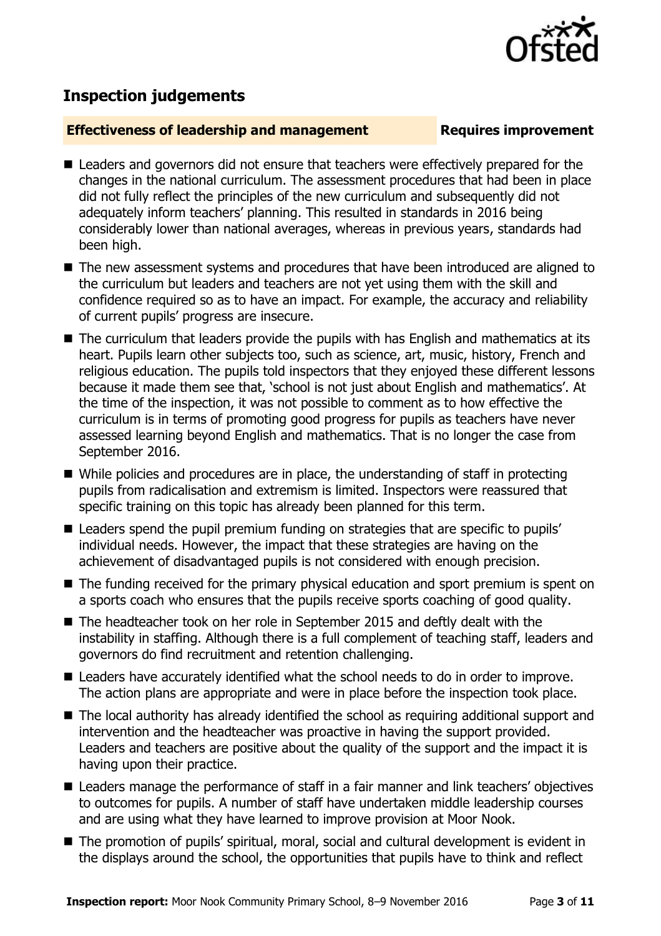# **Inspection judgements**

### **Effectiveness of leadership and management Requires improvement**

- Leaders and governors did not ensure that teachers were effectively prepared for the changes in the national curriculum. The assessment procedures that had been in place did not fully reflect the principles of the new curriculum and subsequently did not adequately inform teachers' planning. This resulted in standards in 2016 being considerably lower than national averages, whereas in previous years, standards had been high.
- The new assessment systems and procedures that have been introduced are aligned to the curriculum but leaders and teachers are not yet using them with the skill and confidence required so as to have an impact. For example, the accuracy and reliability of current pupils' progress are insecure.
- The curriculum that leaders provide the pupils with has English and mathematics at its heart. Pupils learn other subjects too, such as science, art, music, history, French and religious education. The pupils told inspectors that they enjoyed these different lessons because it made them see that, 'school is not just about English and mathematics'. At the time of the inspection, it was not possible to comment as to how effective the curriculum is in terms of promoting good progress for pupils as teachers have never assessed learning beyond English and mathematics. That is no longer the case from September 2016.
- While policies and procedures are in place, the understanding of staff in protecting pupils from radicalisation and extremism is limited. Inspectors were reassured that specific training on this topic has already been planned for this term.
- Leaders spend the pupil premium funding on strategies that are specific to pupils' individual needs. However, the impact that these strategies are having on the achievement of disadvantaged pupils is not considered with enough precision.
- The funding received for the primary physical education and sport premium is spent on a sports coach who ensures that the pupils receive sports coaching of good quality.
- The headteacher took on her role in September 2015 and deftly dealt with the instability in staffing. Although there is a full complement of teaching staff, leaders and governors do find recruitment and retention challenging.
- Leaders have accurately identified what the school needs to do in order to improve. The action plans are appropriate and were in place before the inspection took place.
- The local authority has already identified the school as requiring additional support and intervention and the headteacher was proactive in having the support provided. Leaders and teachers are positive about the quality of the support and the impact it is having upon their practice.
- Leaders manage the performance of staff in a fair manner and link teachers' objectives to outcomes for pupils. A number of staff have undertaken middle leadership courses and are using what they have learned to improve provision at Moor Nook.
- The promotion of pupils' spiritual, moral, social and cultural development is evident in the displays around the school, the opportunities that pupils have to think and reflect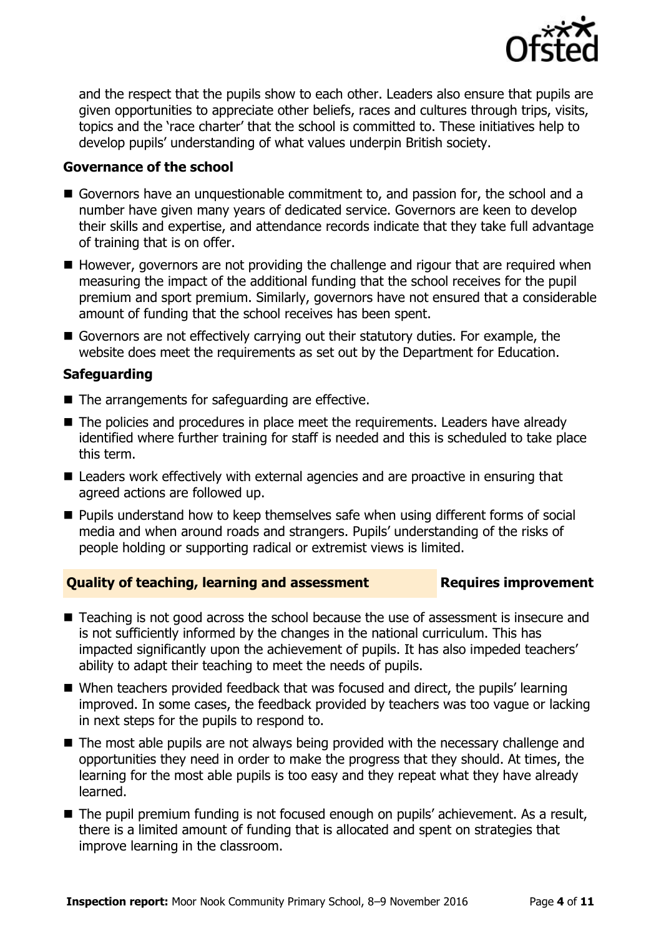

and the respect that the pupils show to each other. Leaders also ensure that pupils are given opportunities to appreciate other beliefs, races and cultures through trips, visits, topics and the 'race charter' that the school is committed to. These initiatives help to develop pupils' understanding of what values underpin British society.

#### **Governance of the school**

- Governors have an unquestionable commitment to, and passion for, the school and a number have given many years of dedicated service. Governors are keen to develop their skills and expertise, and attendance records indicate that they take full advantage of training that is on offer.
- $\blacksquare$  However, governors are not providing the challenge and rigour that are required when measuring the impact of the additional funding that the school receives for the pupil premium and sport premium. Similarly, governors have not ensured that a considerable amount of funding that the school receives has been spent.
- Governors are not effectively carrying out their statutory duties. For example, the website does meet the requirements as set out by the Department for Education.

### **Safeguarding**

- $\blacksquare$  The arrangements for safeguarding are effective.
- The policies and procedures in place meet the requirements. Leaders have already identified where further training for staff is needed and this is scheduled to take place this term.
- Leaders work effectively with external agencies and are proactive in ensuring that agreed actions are followed up.
- **Pupils understand how to keep themselves safe when using different forms of social** media and when around roads and strangers. Pupils' understanding of the risks of people holding or supporting radical or extremist views is limited.

#### **Quality of teaching, learning and assessment Requires improvement**

- Teaching is not good across the school because the use of assessment is insecure and is not sufficiently informed by the changes in the national curriculum. This has impacted significantly upon the achievement of pupils. It has also impeded teachers' ability to adapt their teaching to meet the needs of pupils.
- When teachers provided feedback that was focused and direct, the pupils' learning improved. In some cases, the feedback provided by teachers was too vague or lacking in next steps for the pupils to respond to.
- The most able pupils are not always being provided with the necessary challenge and opportunities they need in order to make the progress that they should. At times, the learning for the most able pupils is too easy and they repeat what they have already learned.
- The pupil premium funding is not focused enough on pupils' achievement. As a result, there is a limited amount of funding that is allocated and spent on strategies that improve learning in the classroom.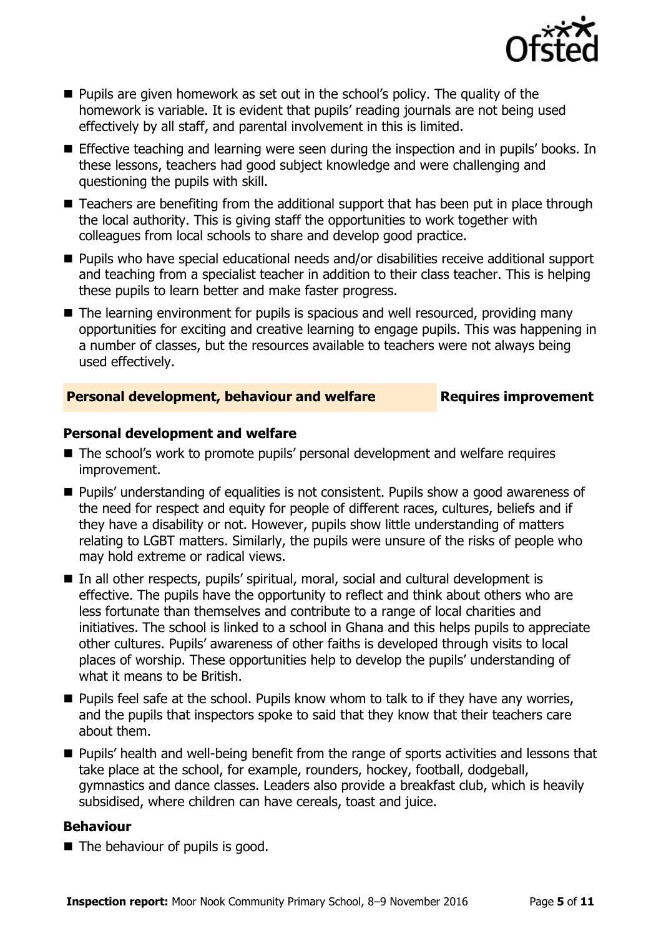

- **Pupils are given homework as set out in the school's policy. The quality of the** homework is variable. It is evident that pupils' reading journals are not being used effectively by all staff, and parental involvement in this is limited.
- Effective teaching and learning were seen during the inspection and in pupils' books. In these lessons, teachers had good subject knowledge and were challenging and questioning the pupils with skill.
- Teachers are benefiting from the additional support that has been put in place through the local authority. This is giving staff the opportunities to work together with colleagues from local schools to share and develop good practice.
- **Pupils who have special educational needs and/or disabilities receive additional support** and teaching from a specialist teacher in addition to their class teacher. This is helping these pupils to learn better and make faster progress.
- The learning environment for pupils is spacious and well resourced, providing many opportunities for exciting and creative learning to engage pupils. This was happening in a number of classes, but the resources available to teachers were not always being used effectively.

### **Personal development, behaviour and welfare Fig. 2.1 Requires improvement**

### **Personal development and welfare**

- The school's work to promote pupils' personal development and welfare requires improvement.
- **Pupils' understanding of equalities is not consistent. Pupils show a good awareness of** the need for respect and equity for people of different races, cultures, beliefs and if they have a disability or not. However, pupils show little understanding of matters relating to LGBT matters. Similarly, the pupils were unsure of the risks of people who may hold extreme or radical views.
- In all other respects, pupils' spiritual, moral, social and cultural development is effective. The pupils have the opportunity to reflect and think about others who are less fortunate than themselves and contribute to a range of local charities and initiatives. The school is linked to a school in Ghana and this helps pupils to appreciate other cultures. Pupils' awareness of other faiths is developed through visits to local places of worship. These opportunities help to develop the pupils' understanding of what it means to be British.
- **Pupils feel safe at the school. Pupils know whom to talk to if they have any worries,** and the pupils that inspectors spoke to said that they know that their teachers care about them.
- **Pupils' health and well-being benefit from the range of sports activities and lessons that** take place at the school, for example, rounders, hockey, football, dodgeball, gymnastics and dance classes. Leaders also provide a breakfast club, which is heavily subsidised, where children can have cereals, toast and juice.

#### **Behaviour**

 $\blacksquare$  The behaviour of pupils is good.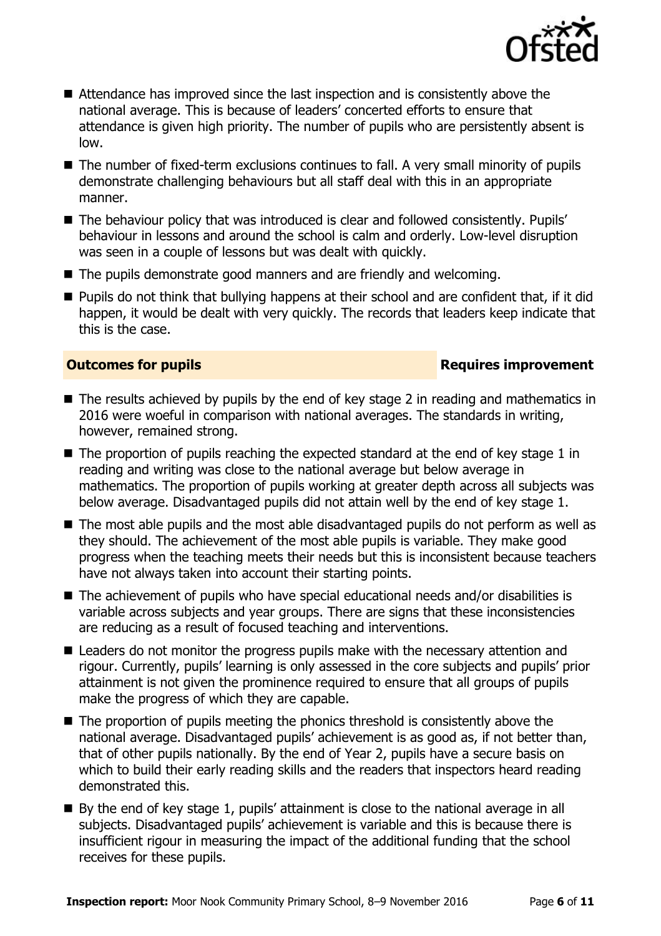

- $\blacksquare$  Attendance has improved since the last inspection and is consistently above the national average. This is because of leaders' concerted efforts to ensure that attendance is given high priority. The number of pupils who are persistently absent is low.
- The number of fixed-term exclusions continues to fall. A very small minority of pupils demonstrate challenging behaviours but all staff deal with this in an appropriate manner.
- The behaviour policy that was introduced is clear and followed consistently. Pupils' behaviour in lessons and around the school is calm and orderly. Low-level disruption was seen in a couple of lessons but was dealt with quickly.
- The pupils demonstrate good manners and are friendly and welcoming.
- **Pupils do not think that bullying happens at their school and are confident that, if it did** happen, it would be dealt with very quickly. The records that leaders keep indicate that this is the case.

### **Outcomes for pupils Requires improvement**

- The results achieved by pupils by the end of key stage 2 in reading and mathematics in 2016 were woeful in comparison with national averages. The standards in writing, however, remained strong.
- $\blacksquare$  The proportion of pupils reaching the expected standard at the end of key stage 1 in reading and writing was close to the national average but below average in mathematics. The proportion of pupils working at greater depth across all subjects was below average. Disadvantaged pupils did not attain well by the end of key stage 1.
- The most able pupils and the most able disadvantaged pupils do not perform as well as they should. The achievement of the most able pupils is variable. They make good progress when the teaching meets their needs but this is inconsistent because teachers have not always taken into account their starting points.
- The achievement of pupils who have special educational needs and/or disabilities is variable across subjects and year groups. There are signs that these inconsistencies are reducing as a result of focused teaching and interventions.
- Leaders do not monitor the progress pupils make with the necessary attention and rigour. Currently, pupils' learning is only assessed in the core subjects and pupils' prior attainment is not given the prominence required to ensure that all groups of pupils make the progress of which they are capable.
- The proportion of pupils meeting the phonics threshold is consistently above the national average. Disadvantaged pupils' achievement is as good as, if not better than, that of other pupils nationally. By the end of Year 2, pupils have a secure basis on which to build their early reading skills and the readers that inspectors heard reading demonstrated this.
- By the end of key stage 1, pupils' attainment is close to the national average in all subjects. Disadvantaged pupils' achievement is variable and this is because there is insufficient rigour in measuring the impact of the additional funding that the school receives for these pupils.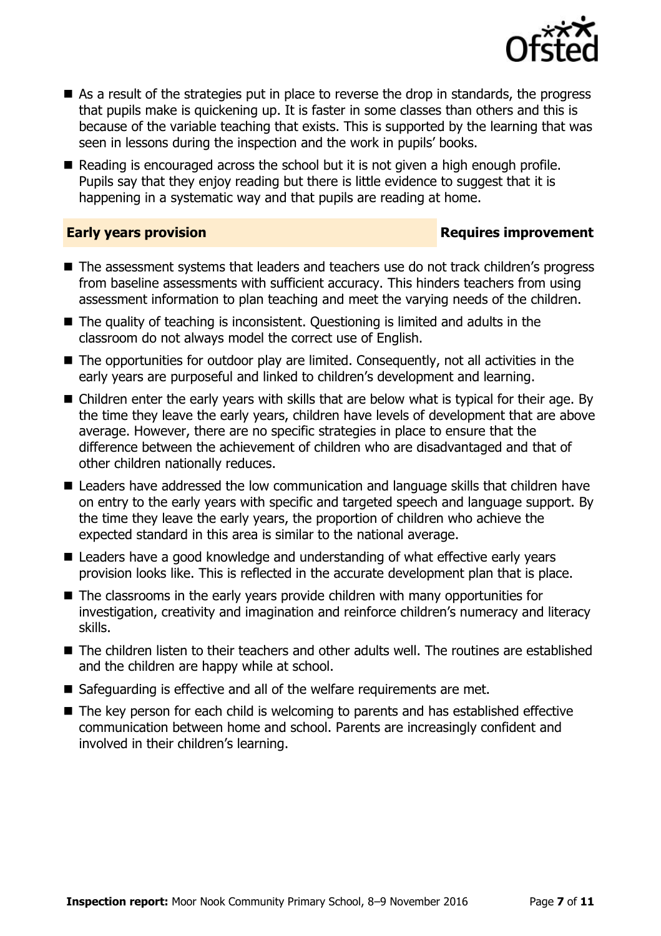

- As a result of the strategies put in place to reverse the drop in standards, the progress that pupils make is quickening up. It is faster in some classes than others and this is because of the variable teaching that exists. This is supported by the learning that was seen in lessons during the inspection and the work in pupils' books.
- Reading is encouraged across the school but it is not given a high enough profile. Pupils say that they enjoy reading but there is little evidence to suggest that it is happening in a systematic way and that pupils are reading at home.

#### **Early years provision Requires improvement**

- The assessment systems that leaders and teachers use do not track children's progress from baseline assessments with sufficient accuracy. This hinders teachers from using assessment information to plan teaching and meet the varying needs of the children.
- The quality of teaching is inconsistent. Questioning is limited and adults in the classroom do not always model the correct use of English.
- The opportunities for outdoor play are limited. Consequently, not all activities in the early years are purposeful and linked to children's development and learning.
- Children enter the early years with skills that are below what is typical for their age. By the time they leave the early years, children have levels of development that are above average. However, there are no specific strategies in place to ensure that the difference between the achievement of children who are disadvantaged and that of other children nationally reduces.
- Leaders have addressed the low communication and language skills that children have on entry to the early years with specific and targeted speech and language support. By the time they leave the early years, the proportion of children who achieve the expected standard in this area is similar to the national average.
- Leaders have a good knowledge and understanding of what effective early years provision looks like. This is reflected in the accurate development plan that is place.
- The classrooms in the early years provide children with many opportunities for investigation, creativity and imagination and reinforce children's numeracy and literacy skills.
- The children listen to their teachers and other adults well. The routines are established and the children are happy while at school.
- Safeguarding is effective and all of the welfare requirements are met.
- The key person for each child is welcoming to parents and has established effective communication between home and school. Parents are increasingly confident and involved in their children's learning.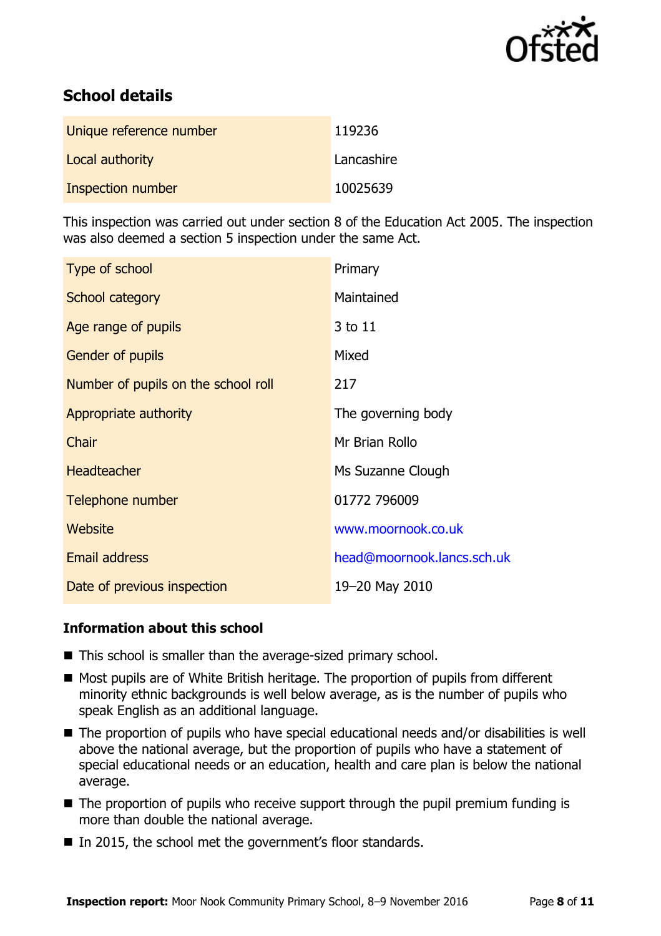

# **School details**

| Unique reference number | 119236     |
|-------------------------|------------|
| Local authority         | Lancashire |
| Inspection number       | 10025639   |

This inspection was carried out under section 8 of the Education Act 2005. The inspection was also deemed a section 5 inspection under the same Act.

| Type of school                      | Primary                    |
|-------------------------------------|----------------------------|
| School category                     | Maintained                 |
| Age range of pupils                 | 3 to 11                    |
| <b>Gender of pupils</b>             | Mixed                      |
| Number of pupils on the school roll | 217                        |
| Appropriate authority               | The governing body         |
| Chair                               | Mr Brian Rollo             |
| <b>Headteacher</b>                  | Ms Suzanne Clough          |
| Telephone number                    | 01772 796009               |
| Website                             | www.moornook.co.uk         |
| <b>Email address</b>                | head@moornook.lancs.sch.uk |
| Date of previous inspection         | 19-20 May 2010             |

### **Information about this school**

- This school is smaller than the average-sized primary school.
- Most pupils are of White British heritage. The proportion of pupils from different minority ethnic backgrounds is well below average, as is the number of pupils who speak English as an additional language.
- The proportion of pupils who have special educational needs and/or disabilities is well above the national average, but the proportion of pupils who have a statement of special educational needs or an education, health and care plan is below the national average.
- $\blacksquare$  The proportion of pupils who receive support through the pupil premium funding is more than double the national average.
- In 2015, the school met the government's floor standards.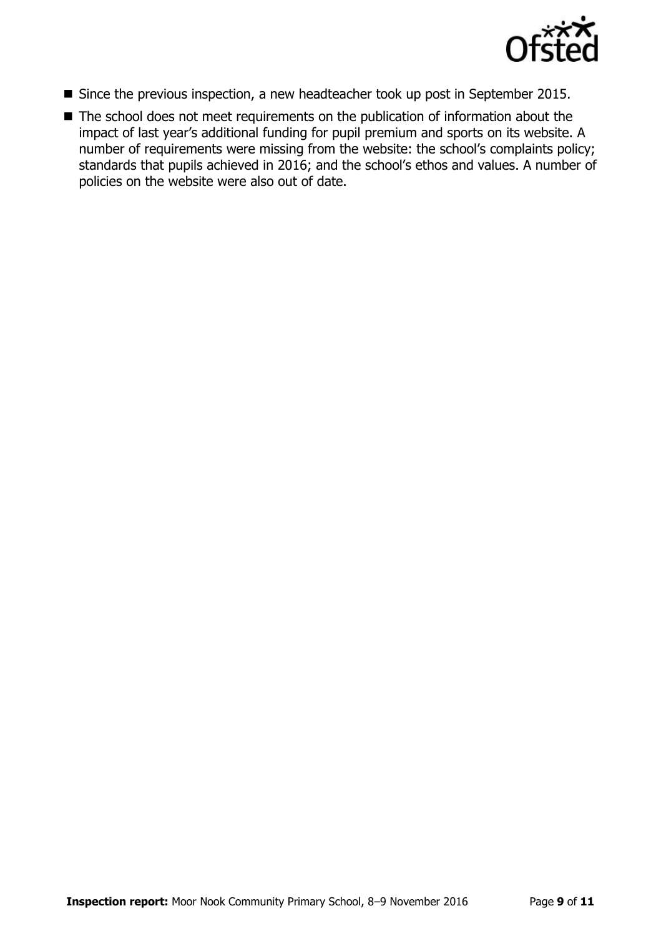

- Since the previous inspection, a new headteacher took up post in September 2015.
- The school does not meet requirements on the publication of information about the impact of last year's additional funding for pupil premium and sports on its website. A number of requirements were missing from the website: the school's complaints policy; standards that pupils achieved in 2016; and the school's ethos and values. A number of policies on the website were also out of date.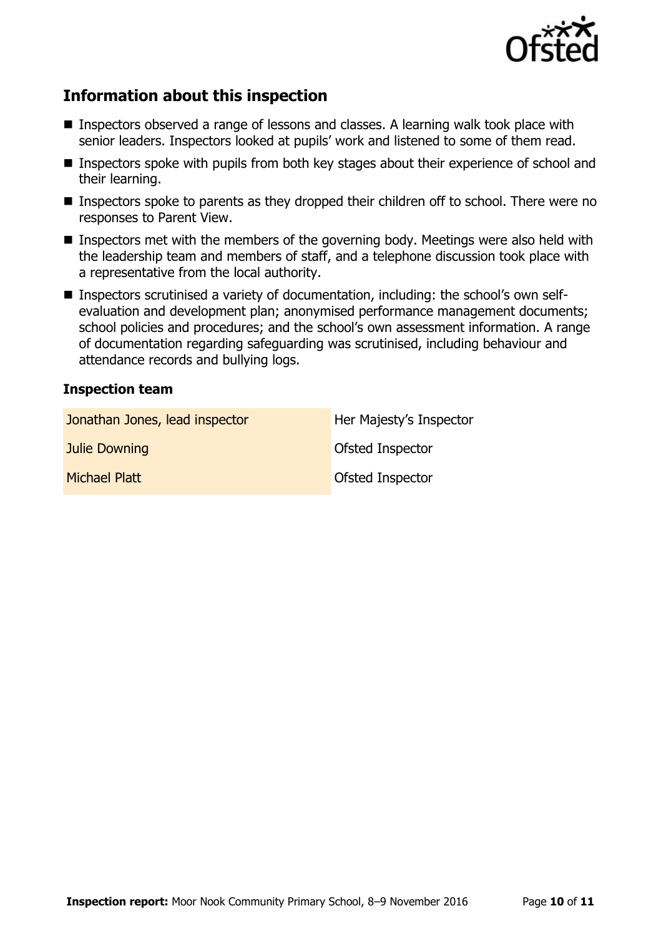

## **Information about this inspection**

- Inspectors observed a range of lessons and classes. A learning walk took place with senior leaders. Inspectors looked at pupils' work and listened to some of them read.
- Inspectors spoke with pupils from both key stages about their experience of school and their learning.
- Inspectors spoke to parents as they dropped their children off to school. There were no responses to Parent View.
- Inspectors met with the members of the governing body. Meetings were also held with the leadership team and members of staff, and a telephone discussion took place with a representative from the local authority.
- Inspectors scrutinised a variety of documentation, including: the school's own selfevaluation and development plan; anonymised performance management documents; school policies and procedures; and the school's own assessment information. A range of documentation regarding safeguarding was scrutinised, including behaviour and attendance records and bullying logs.

### **Inspection team**

| Jonathan Jones, lead inspector | Her Majesty's Inspector |
|--------------------------------|-------------------------|
| <b>Julie Downing</b>           | Ofsted Inspector        |
| Michael Platt                  | <b>Ofsted Inspector</b> |